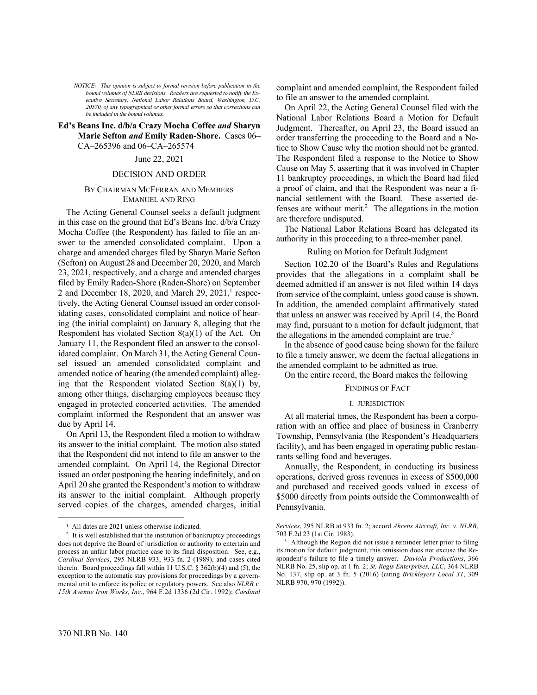*NOTICE: This opinion is subject to formal revision before publication in the bound volumes of NLRB decisions. Readers are requested to notify the Executive Secretary, National Labor Relations Board, Washington, D.C. 20570, of any typographical or other formal errors so that corrections can be included in the bound volumes.*

### **Ed's Beans Inc. d/b/a Crazy Mocha Coffee** *and* **Sharyn Marie Sefton** *and* **Emily Raden-Shore.** Cases 06– CA–265396 and 06–CA–265574

### June 22, 2021

#### DECISION AND ORDER

### BY CHAIRMAN MCFERRAN AND MEMBERS EMANUEL AND RING

The Acting General Counsel seeks a default judgment in this case on the ground that Ed's Beans Inc. d/b/a Crazy Mocha Coffee (the Respondent) has failed to file an answer to the amended consolidated complaint. Upon a charge and amended charges filed by Sharyn Marie Sefton (Sefton) on August 28 and December 20, 2020, and March 23, 2021, respectively, and a charge and amended charges filed by Emily Raden-Shore (Raden-Shore) on September 2 and December 18, 2020, and March 29, 2021,<sup>1</sup> respectively, the Acting General Counsel issued an order consolidating cases, consolidated complaint and notice of hearing (the initial complaint) on January 8, alleging that the Respondent has violated Section 8(a)(1) of the Act. On January 11, the Respondent filed an answer to the consolidated complaint. On March 31, the Acting General Counsel issued an amended consolidated complaint and amended notice of hearing (the amended complaint) alleging that the Respondent violated Section  $8(a)(1)$  by, among other things, discharging employees because they engaged in protected concerted activities. The amended complaint informed the Respondent that an answer was due by April 14.

On April 13, the Respondent filed a motion to withdraw its answer to the initial complaint. The motion also stated that the Respondent did not intend to file an answer to the amended complaint. On April 14, the Regional Director issued an order postponing the hearing indefinitely, and on April 20 she granted the Respondent's motion to withdraw its answer to the initial complaint. Although properly served copies of the charges, amended charges, initial complaint and amended complaint, the Respondent failed to file an answer to the amended complaint.

On April 22, the Acting General Counsel filed with the National Labor Relations Board a Motion for Default Judgment. Thereafter, on April 23, the Board issued an order transferring the proceeding to the Board and a Notice to Show Cause why the motion should not be granted. The Respondent filed a response to the Notice to Show Cause on May 5, asserting that it was involved in Chapter 11 bankruptcy proceedings, in which the Board had filed a proof of claim, and that the Respondent was near a financial settlement with the Board. These asserted defenses are without merit.<sup>2</sup> The allegations in the motion are therefore undisputed.

The National Labor Relations Board has delegated its authority in this proceeding to a three-member panel.

### Ruling on Motion for Default Judgment

Section 102.20 of the Board's Rules and Regulations provides that the allegations in a complaint shall be deemed admitted if an answer is not filed within 14 days from service of the complaint, unless good cause is shown. In addition, the amended complaint affirmatively stated that unless an answer was received by April 14, the Board may find, pursuant to a motion for default judgment, that the allegations in the amended complaint are true. $3$ 

In the absence of good cause being shown for the failure to file a timely answer, we deem the factual allegations in the amended complaint to be admitted as true.

On the entire record, the Board makes the following

## FINDINGS OF FACT

#### I. JURISDICTION

At all material times, the Respondent has been a corporation with an office and place of business in Cranberry Township, Pennsylvania (the Respondent's Headquarters facility), and has been engaged in operating public restaurants selling food and beverages.

Annually, the Respondent, in conducting its business operations, derived gross revenues in excess of \$500,000 and purchased and received goods valued in excess of \$5000 directly from points outside the Commonwealth of Pennsylvania.

<sup>1</sup> All dates are 2021 unless otherwise indicated.

<sup>2</sup> It is well established that the institution of bankruptcy proceedings does not deprive the Board of jurisdiction or authority to entertain and process an unfair labor practice case to its final disposition. See, e.g., *Cardinal Services*, 295 NLRB 933, 933 fn. 2 (1989), and cases cited therein. Board proceedings fall within 11 U.S.C. § 362(b)(4) and (5), the exception to the automatic stay provisions for proceedings by a governmental unit to enforce its police or regulatory powers. See also *NLRB v. 15th Avenue Iron Works, Inc*., 964 F.2d 1336 (2d Cir. 1992); *Cardinal* 

*Services*, 295 NLRB at 933 fn. 2; accord *Ahrens Aircraft, Inc. v. NLRB*, 703 F.2d 23 (1st Cir. 1983).

<sup>3</sup> Although the Region did not issue a reminder letter prior to filing its motion for default judgment, this omission does not excuse the Respondent's failure to file a timely answer. *Daviola Productions*, 366 NLRB No. 25, slip op. at 1 fn. 2; *St. Regis Enterprises, LLC*, 364 NLRB No. 137, slip op. at 3 fn. 5 (2016) (citing *Bricklayers Local 31*, 309 NLRB 970, 970 (1992)).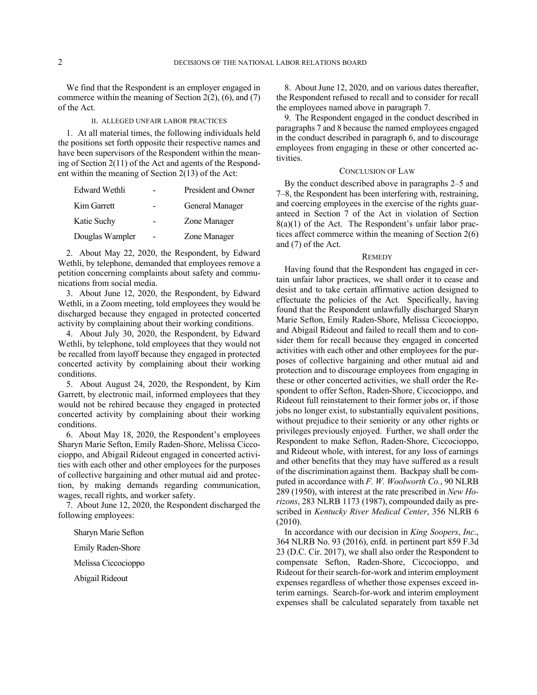We find that the Respondent is an employer engaged in commerce within the meaning of Section 2(2), (6), and (7) of the Act.

### II. ALLEGED UNFAIR LABOR PRACTICES

1. At all material times, the following individuals held the positions set forth opposite their respective names and have been supervisors of the Respondent within the meaning of Section 2(11) of the Act and agents of the Respondent within the meaning of Section 2(13) of the Act:

| Edward Wethli   | President and Owner |
|-----------------|---------------------|
| Kim Garrett     | General Manager     |
| Katie Suchy     | Zone Manager        |
| Douglas Wampler | Zone Manager        |

2. About May 22, 2020, the Respondent, by Edward Wethli, by telephone, demanded that employees remove a petition concerning complaints about safety and communications from social media.

3. About June 12, 2020, the Respondent, by Edward Wethli, in a Zoom meeting, told employees they would be discharged because they engaged in protected concerted activity by complaining about their working conditions.

4. About July 30, 2020, the Respondent, by Edward Wethli, by telephone, told employees that they would not be recalled from layoff because they engaged in protected concerted activity by complaining about their working conditions.

5. About August 24, 2020, the Respondent, by Kim Garrett, by electronic mail, informed employees that they would not be rehired because they engaged in protected concerted activity by complaining about their working conditions.

6. About May 18, 2020, the Respondent's employees Sharyn Marie Sefton, Emily Raden-Shore, Melissa Ciccocioppo, and Abigail Rideout engaged in concerted activities with each other and other employees for the purposes of collective bargaining and other mutual aid and protection, by making demands regarding communication, wages, recall rights, and worker safety.

7. About June 12, 2020, the Respondent discharged the following employees:

Sharyn Marie Sefton

Emily Raden-Shore

Melissa Ciccocioppo

Abigail Rideout

8. About June 12, 2020, and on various dates thereafter, the Respondent refused to recall and to consider for recall the employees named above in paragraph 7.

9. The Respondent engaged in the conduct described in paragraphs 7 and 8 because the named employees engaged in the conduct described in paragraph 6, and to discourage employees from engaging in these or other concerted activities.

#### CONCLUSION OF LAW

By the conduct described above in paragraphs 2–5 and 7–8, the Respondent has been interfering with, restraining, and coercing employees in the exercise of the rights guaranteed in Section 7 of the Act in violation of Section  $8(a)(1)$  of the Act. The Respondent's unfair labor practices affect commerce within the meaning of Section 2(6) and (7) of the Act.

### **REMEDY**

Having found that the Respondent has engaged in certain unfair labor practices, we shall order it to cease and desist and to take certain affirmative action designed to effectuate the policies of the Act. Specifically, having found that the Respondent unlawfully discharged Sharyn Marie Sefton, Emily Raden-Shore, Melissa Ciccocioppo, and Abigail Rideout and failed to recall them and to consider them for recall because they engaged in concerted activities with each other and other employees for the purposes of collective bargaining and other mutual aid and protection and to discourage employees from engaging in these or other concerted activities, we shall order the Respondent to offer Sefton, Raden-Shore, Ciccocioppo, and Rideout full reinstatement to their former jobs or, if those jobs no longer exist, to substantially equivalent positions, without prejudice to their seniority or any other rights or privileges previously enjoyed. Further, we shall order the Respondent to make Sefton, Raden-Shore, Ciccocioppo, and Rideout whole, with interest, for any loss of earnings and other benefits that they may have suffered as a result of the discrimination against them. Backpay shall be computed in accordance with *F. W. Woolworth Co.*, 90 NLRB 289 (1950), with interest at the rate prescribed in *New Horizons*, 283 NLRB 1173 (1987), compounded daily as prescribed in *Kentucky River Medical Center*, 356 NLRB 6 (2010).

In accordance with our decision in *King Soopers*, *Inc*., 364 NLRB No. 93 (2016), enfd. in pertinent part 859 F.3d 23 (D.C. Cir. 2017), we shall also order the Respondent to compensate Sefton, Raden-Shore, Ciccocioppo, and Rideout for their search-for-work and interim employment expenses regardless of whether those expenses exceed interim earnings. Search-for-work and interim employment expenses shall be calculated separately from taxable net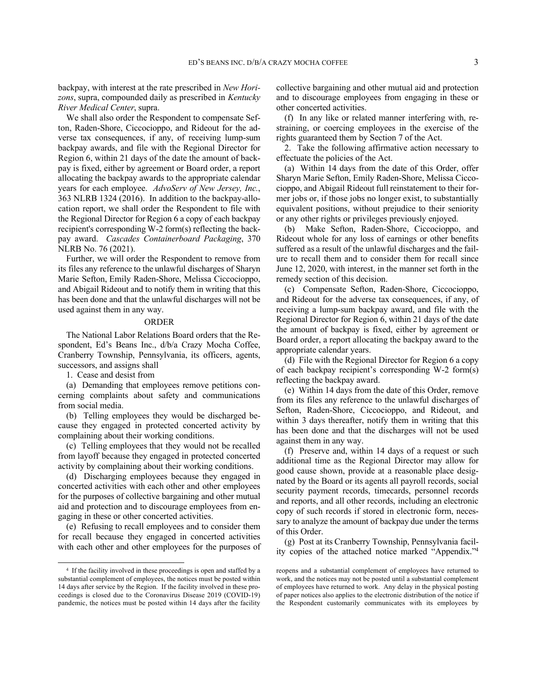backpay, with interest at the rate prescribed in *New Horizons*, supra, compounded daily as prescribed in *Kentucky River Medical Center*, supra.

We shall also order the Respondent to compensate Sefton, Raden-Shore, Ciccocioppo, and Rideout for the adverse tax consequences, if any, of receiving lump-sum backpay awards, and file with the Regional Director for Region 6, within 21 days of the date the amount of backpay is fixed, either by agreement or Board order, a report allocating the backpay awards to the appropriate calendar years for each employee. *AdvoServ of New Jersey, Inc.*, 363 NLRB 1324 (2016). In addition to the backpay-allocation report, we shall order the Respondent to file with the Regional Director for Region 6 a copy of each backpay recipient's corresponding W-2 form(s) reflecting the backpay award. *Cascades Containerboard Packaging*, 370 NLRB No. 76 (2021).

Further, we will order the Respondent to remove from its files any reference to the unlawful discharges of Sharyn Marie Sefton, Emily Raden-Shore, Melissa Ciccocioppo, and Abigail Rideout and to notify them in writing that this has been done and that the unlawful discharges will not be used against them in any way.

### ORDER

The National Labor Relations Board orders that the Respondent, Ed's Beans Inc., d/b/a Crazy Mocha Coffee, Cranberry Township, Pennsylvania, its officers, agents, successors, and assigns shall

1. Cease and desist from

(a) Demanding that employees remove petitions concerning complaints about safety and communications from social media.

(b) Telling employees they would be discharged because they engaged in protected concerted activity by complaining about their working conditions.

(c) Telling employees that they would not be recalled from layoff because they engaged in protected concerted activity by complaining about their working conditions.

(d) Discharging employees because they engaged in concerted activities with each other and other employees for the purposes of collective bargaining and other mutual aid and protection and to discourage employees from engaging in these or other concerted activities.

(e) Refusing to recall employees and to consider them for recall because they engaged in concerted activities with each other and other employees for the purposes of collective bargaining and other mutual aid and protection and to discourage employees from engaging in these or other concerted activities.

(f) In any like or related manner interfering with, restraining, or coercing employees in the exercise of the rights guaranteed them by Section 7 of the Act.

2. Take the following affirmative action necessary to effectuate the policies of the Act.

(a) Within 14 days from the date of this Order, offer Sharyn Marie Sefton, Emily Raden-Shore, Melissa Ciccocioppo, and Abigail Rideout full reinstatement to their former jobs or, if those jobs no longer exist, to substantially equivalent positions, without prejudice to their seniority or any other rights or privileges previously enjoyed.

(b) Make Sefton, Raden-Shore, Ciccocioppo, and Rideout whole for any loss of earnings or other benefits suffered as a result of the unlawful discharges and the failure to recall them and to consider them for recall since June 12, 2020, with interest, in the manner set forth in the remedy section of this decision.

(c) Compensate Sefton, Raden-Shore, Ciccocioppo, and Rideout for the adverse tax consequences, if any, of receiving a lump-sum backpay award, and file with the Regional Director for Region 6, within 21 days of the date the amount of backpay is fixed, either by agreement or Board order, a report allocating the backpay award to the appropriate calendar years.

(d) File with the Regional Director for Region 6 a copy of each backpay recipient's corresponding W-2 form(s) reflecting the backpay award.

(e) Within 14 days from the date of this Order, remove from its files any reference to the unlawful discharges of Sefton, Raden-Shore, Ciccocioppo, and Rideout, and within 3 days thereafter, notify them in writing that this has been done and that the discharges will not be used against them in any way.

(f) Preserve and, within 14 days of a request or such additional time as the Regional Director may allow for good cause shown, provide at a reasonable place designated by the Board or its agents all payroll records, social security payment records, timecards, personnel records and reports, and all other records, including an electronic copy of such records if stored in electronic form, necessary to analyze the amount of backpay due under the terms of this Order.

(g) Post at its Cranberry Township, Pennsylvania facility copies of the attached notice marked "Appendix."<sup>4</sup>

<sup>4</sup> If the facility involved in these proceedings is open and staffed by a substantial complement of employees, the notices must be posted within 14 days after service by the Region. If the facility involved in these proceedings is closed due to the Coronavirus Disease 2019 (COVID-19) pandemic, the notices must be posted within 14 days after the facility

reopens and a substantial complement of employees have returned to work, and the notices may not be posted until a substantial complement of employees have returned to work. Any delay in the physical posting of paper notices also applies to the electronic distribution of the notice if the Respondent customarily communicates with its employees by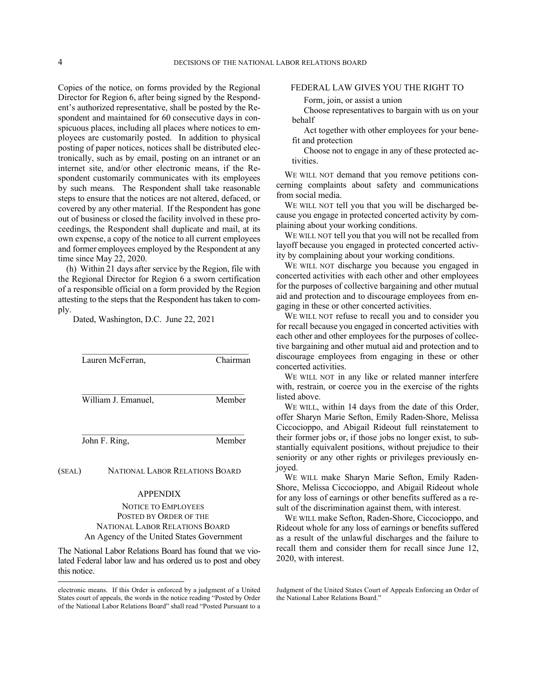Copies of the notice, on forms provided by the Regional Director for Region 6, after being signed by the Respondent's authorized representative, shall be posted by the Respondent and maintained for 60 consecutive days in conspicuous places, including all places where notices to employees are customarily posted. In addition to physical posting of paper notices, notices shall be distributed electronically, such as by email, posting on an intranet or an internet site, and/or other electronic means, if the Respondent customarily communicates with its employees by such means. The Respondent shall take reasonable steps to ensure that the notices are not altered, defaced, or covered by any other material. If the Respondent has gone out of business or closed the facility involved in these proceedings, the Respondent shall duplicate and mail, at its own expense, a copy of the notice to all current employees and former employees employed by the Respondent at any time since May 22, 2020.

(h) Within 21 days after service by the Region, file with the Regional Director for Region 6 a sworn certification of a responsible official on a form provided by the Region attesting to the steps that the Respondent has taken to comply.

Dated, Washington, D.C. June 22, 2021

| Lauren McFerran,    | Chairman |
|---------------------|----------|
| William J. Emanuel, | Member   |
| John F. Ring,       | Member   |

(SEAL) NATIONAL LABOR RELATIONS BOARD

## APPENDIX

# NOTICE TO EMPLOYEES POSTED BY ORDER OF THE NATIONAL LABOR RELATIONS BOARD An Agency of the United States Government

The National Labor Relations Board has found that we violated Federal labor law and has ordered us to post and obey this notice.

### FEDERAL LAW GIVES YOU THE RIGHT TO

Form, join, or assist a union

Choose representatives to bargain with us on your behalf

Act together with other employees for your benefit and protection

Choose not to engage in any of these protected activities.

WE WILL NOT demand that you remove petitions concerning complaints about safety and communications from social media.

WE WILL NOT tell you that you will be discharged because you engage in protected concerted activity by complaining about your working conditions.

WE WILL NOT tell you that you will not be recalled from layoff because you engaged in protected concerted activity by complaining about your working conditions.

WE WILL NOT discharge you because you engaged in concerted activities with each other and other employees for the purposes of collective bargaining and other mutual aid and protection and to discourage employees from engaging in these or other concerted activities.

WE WILL NOT refuse to recall you and to consider you for recall because you engaged in concerted activities with each other and other employees for the purposes of collective bargaining and other mutual aid and protection and to discourage employees from engaging in these or other concerted activities.

WE WILL NOT in any like or related manner interfere with, restrain, or coerce you in the exercise of the rights listed above.

WE WILL, within 14 days from the date of this Order, offer Sharyn Marie Sefton, Emily Raden-Shore, Melissa Ciccocioppo, and Abigail Rideout full reinstatement to their former jobs or, if those jobs no longer exist, to substantially equivalent positions, without prejudice to their seniority or any other rights or privileges previously enjoyed.

WE WILL make Sharyn Marie Sefton, Emily Raden-Shore, Melissa Ciccocioppo, and Abigail Rideout whole for any loss of earnings or other benefits suffered as a result of the discrimination against them, with interest.

WE WILL make Sefton, Raden-Shore, Ciccocioppo, and Rideout whole for any loss of earnings or benefits suffered as a result of the unlawful discharges and the failure to recall them and consider them for recall since June 12, 2020, with interest.

electronic means. If this Order is enforced by a judgment of a United States court of appeals, the words in the notice reading "Posted by Order of the National Labor Relations Board" shall read "Posted Pursuant to a

Judgment of the United States Court of Appeals Enforcing an Order of the National Labor Relations Board."